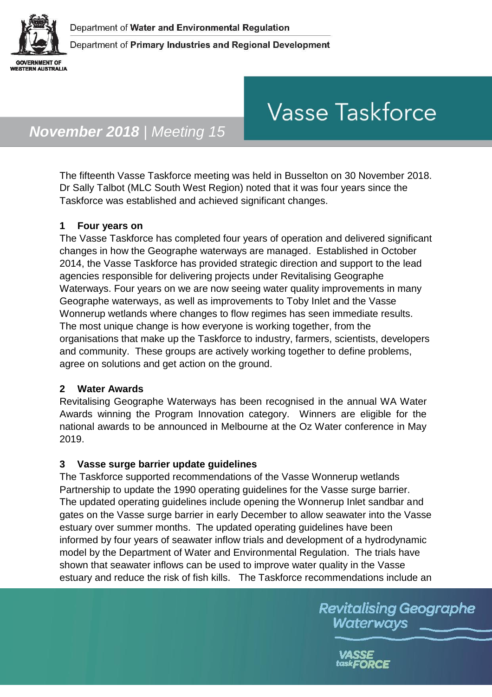

# **Vasse Taskforce**

# *November 2018 | Meeting 15*

The fifteenth Vasse Taskforce meeting was held in Busselton on 30 November 2018. Dr Sally Talbot (MLC South West Region) noted that it was four years since the Taskforce was established and achieved significant changes.

#### **1 Four years on**

The Vasse Taskforce has completed four years of operation and delivered significant changes in how the Geographe waterways are managed. Established in October 2014, the Vasse Taskforce has provided strategic direction and support to the lead agencies responsible for delivering projects under Revitalising Geographe Waterways. Four years on we are now seeing water quality improvements in many Geographe waterways, as well as improvements to Toby Inlet and the Vasse Wonnerup wetlands where changes to flow regimes has seen immediate results. The most unique change is how everyone is working together, from the organisations that make up the Taskforce to industry, farmers, scientists, developers and community. These groups are actively working together to define problems, agree on solutions and get action on the ground.

#### **2 Water Awards**

Revitalising Geographe Waterways has been recognised in the annual WA Water Awards winning the Program Innovation category. Winners are eligible for the national awards to be announced in Melbourne at the Oz Water conference in May 2019.

#### **3 Vasse surge barrier update guidelines**

The Taskforce supported recommendations of the Vasse Wonnerup wetlands Partnership to update the 1990 operating guidelines for the Vasse surge barrier. The updated operating guidelines include opening the Wonnerup Inlet sandbar and gates on the Vasse surge barrier in early December to allow seawater into the Vasse estuary over summer months. The updated operating guidelines have been informed by four years of seawater inflow trials and development of a hydrodynamic model by the Department of Water and Environmental Regulation. The trials have shown that seawater inflows can be used to improve water quality in the Vasse estuary and reduce the risk of fish kills. The Taskforce recommendations include an

> **Revitalising Geographe** Waterways

> > task**FORCE**